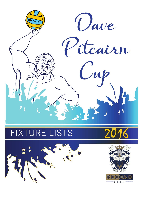

## **FIXTURE LISTS**







House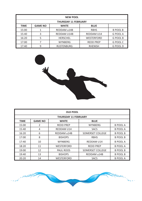| <b>NEW POOL</b> |                                               |                   |                   |                 |  |  |  |
|-----------------|-----------------------------------------------|-------------------|-------------------|-----------------|--|--|--|
|                 | <b>THURSDAY 11 FEBRUARY</b>                   |                   |                   |                 |  |  |  |
| <b>TIME</b>     | <b>GAME NO</b><br><b>WHITE</b><br><b>BLUE</b> |                   |                   |                 |  |  |  |
| 15:00           |                                               | REDDAM u14B       | <b>RBHS</b>       | <b>B POOL B</b> |  |  |  |
| 15:40           | 3                                             | REDDAM U14B       | <b>REDDAM U14</b> | G POOL A        |  |  |  |
| 16:20           | 5                                             | <b>HERSCHEL</b>   | <b>WESTERFORD</b> | <b>G POOL B</b> |  |  |  |
| 17:00           |                                               | <b>WYNBERG</b>    | <b>REDD PREP</b>  | <b>G POOL C</b> |  |  |  |
| 17:40           | 9                                             | <b>RUSTENBURG</b> | <b>RHENISH</b>    | <b>G POOL D</b> |  |  |  |



| <b>OLD POOL</b>                                              |                             |                   |                         |                 |  |  |  |
|--------------------------------------------------------------|-----------------------------|-------------------|-------------------------|-----------------|--|--|--|
|                                                              | <b>THURSDAY 11 FEBRUARY</b> |                   |                         |                 |  |  |  |
| <b>TIME</b><br><b>GAME NO</b><br><b>WHITE</b><br><b>BLUE</b> |                             |                   |                         |                 |  |  |  |
| 15:00                                                        | 2                           | <b>REDD PREP</b>  | <b>WYNBERG</b>          | <b>B POOL A</b> |  |  |  |
| 15:40                                                        | 4                           | <b>REDDAM U14</b> | <b>SACS</b>             | <b>B POOL A</b> |  |  |  |
| 16:20                                                        | 6                           | REDDAM u14B       | <b>SOMERSET COLLEGE</b> | <b>B POOL B</b> |  |  |  |
| 17:00                                                        | 8                           | <b>BISHOPS</b>    | <b>RBHS</b>             | <b>B POOL B</b> |  |  |  |
| 17:40                                                        | 10                          | <b>WYNBERG</b>    | <b>REDDAM U14</b>       | <b>B POOL A</b> |  |  |  |
| 18:20                                                        | 11                          | <b>WESTERFORD</b> | <b>REDD PREP</b>        | <b>B POOL A</b> |  |  |  |
| 19:00                                                        | 12                          | PAUL ROOS         | SOMERSET COLLEGE        | <b>B POOL B</b> |  |  |  |
| 19:40                                                        | 13                          | <b>BISHOPS</b>    | REDDAM u14B             | <b>B POOL B</b> |  |  |  |
| 20:20                                                        | 14                          | <b>WESTERFORD</b> | <b>SACS</b>             | <b>B POOL A</b> |  |  |  |

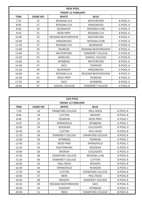| <b>NEW POOL</b>           |                |                        |                           |                 |  |  |
|---------------------------|----------------|------------------------|---------------------------|-----------------|--|--|
| <b>FRIDAY 12 FEBRUARY</b> |                |                        |                           |                 |  |  |
| <b>TIME</b>               | <b>GAME NO</b> |                        |                           |                 |  |  |
| 7:20                      | 15             | REDDAM U14             | WESTERFORD                | <b>B POOL A</b> |  |  |
| 8:00                      | 17             | <b>REDDAM U14</b>      | <b>KINGSWOOD</b>          | <b>G POOL A</b> |  |  |
| 8:40                      | 19             | <b>BLOEMHOF</b>        | <b>REDDAM U14B</b>        | <b>G POOL A</b> |  |  |
| 9:20                      | 21             | <b>REDD PREP</b>       | <b>REDDAM U14</b>         | <b>B POOL A</b> |  |  |
| 10:00                     | 23             | REDDAM BEDFORDVIEW     | <b>WESTERFORD</b>         | <b>B POOL A</b> |  |  |
| 10:40                     | 25             | <b>KINGSWOOD</b>       | REDDAM U14B               | <b>G POOL A</b> |  |  |
| 11:20                     | 27             | REDDAM U14             | <b>BLOEMHOF</b>           | <b>G POOL A</b> |  |  |
| 12:00                     | 29             | <b>PEARSON</b>         | REDDAM BEDFORDVIEW        | <b>B POOL A</b> |  |  |
| 12:40                     | 31             | <b>WESTERFORD</b>      | <b>SOMERSET COLLEGE</b>   | <b>G POOL B</b> |  |  |
| 13:20                     | 33             | <b>HERSCHEL</b>        | <b>OAKHILL COLLEGE</b>    | <b>G POOL B</b> |  |  |
| 14:00                     | 35             | <b>WYNBERG</b>         | <b>WESTERFORD</b>         | <b>B POOL A</b> |  |  |
| 14:40                     | 37             | <b>SACS</b>            | <b>PEARSON</b>            | <b>B POOL A</b> |  |  |
| 15:20                     | 39             | <b>BLOEMHOF</b>        | <b>KINGSWOOD</b>          | <b>G POOL A</b> |  |  |
| 16:00                     | 41             | <b>REDDAM U14</b>      | <b>REDDAM BEDFORDVIEW</b> | <b>B POOL A</b> |  |  |
| 16:40                     | 43             | <b>REDD PREP</b>       | <b>PEARSON</b>            | <b>B POOL A</b> |  |  |
| 17:20                     | 45             | <b>SACS</b>            | <b>WYNBERG</b>            | <b>B POOL A</b> |  |  |
| 18:00                     | 47             | <b>OAKHILL COLLEGE</b> | <b>SOMERSET COLLEGE</b>   | <b>G POOL B</b> |  |  |

|             | <b>OLD POOL</b>                               |                         |                         |                 |  |  |  |
|-------------|-----------------------------------------------|-------------------------|-------------------------|-----------------|--|--|--|
|             | <b>FRIDAY 12 FEBRUARY</b>                     |                         |                         |                 |  |  |  |
| <b>TIME</b> | <b>GAME NO</b><br><b>WHITE</b><br><b>BLUE</b> |                         |                         |                 |  |  |  |
| 7:20        | 16                                            | <b>CRAWFORD COLLEGE</b> | <b>PAUL ROOS</b>        | <b>B POOL B</b> |  |  |  |
| 8:00        | 18                                            | <b>CLIFTON</b>          | <b>BISHOPS</b>          | <b>B POOL B</b> |  |  |  |
| 8:40        | 20                                            | <b>PEARSON</b>          | <b>REDD PREP</b>        | <b>G POOL C</b> |  |  |  |
| 9:20        | 22                                            | <b>SPRINGFIELD</b>      | <b>WYNBERG</b>          | <b>G POOL C</b> |  |  |  |
| 10:00       | 24                                            | <b>ROEDEAN</b>          | <b>COLLEGIATE</b>       | <b>G POOL D</b> |  |  |  |
| 10:40       | 26                                            | <b>CLIFTON</b>          | <b>PAUL ROOS</b>        | <b>B POOL B</b> |  |  |  |
| 11:20       | 28                                            | <b>SOMERSET COLLEGE</b> | <b>CRAWFORD COLLEGE</b> | <b>B POOL B</b> |  |  |  |
| 12:00       | 30                                            | <b>WYNBERG</b>          | <b>PEARSON</b>          | <b>G POOL C</b> |  |  |  |
| 12:40       | 32                                            | <b>REDD PREP</b>        | SPRINGFIELD             | <b>G POOL C</b> |  |  |  |
| 13:20       | 34                                            | <b>RUSTENBURG</b>       | <b>ROEDEAN</b>          | <b>G POOL D</b> |  |  |  |
| 14:00       | 36                                            | <b>RHENISH</b>          | <b>COLLEGIATE</b>       | <b>G POOL D</b> |  |  |  |
| 14:40       | 38                                            | <b>CRAWFORD COLLEGE</b> | REDDAM u14B             | <b>B POOL B</b> |  |  |  |
| 15:20       | 40                                            | <b>SOMERSET COLLEGE</b> | <b>CLIFTON</b>          | <b>B POOL B</b> |  |  |  |
| 16:00       | 42                                            | <b>PAUL ROOS</b>        | <b>BISHOPS</b>          | <b>B POOL B</b> |  |  |  |
| 16:40       | 44                                            | SPRINGFIELD             | <b>PEARSON</b>          | <b>G POOL C</b> |  |  |  |
| 17:20       | 46                                            | <b>CLIFTON</b>          | <b>CRAWFORD COLLEGE</b> | <b>B POOL B</b> |  |  |  |
| 18:00       | 47                                            | <b>RBHS</b>             | PAUL ROOS               | <b>B POOL B</b> |  |  |  |
| 18:40       | 48                                            | <b>BISHOPS</b>          | <b>SOMERSET COLLEGE</b> | <b>B POOL B</b> |  |  |  |
| 19:20       | 49                                            | REDDAM BEDFORDVIEW      | <b>SACS</b>             | <b>B POOL A</b> |  |  |  |
| 20:00       | 50                                            | <b>PEARSON</b>          | <b>WYNBERG</b>          | <b>B POOL A</b> |  |  |  |
| 20:40       | 51                                            | <b>RBHS</b>             | <b>CRAWFORD COLLEGE</b> | <b>B POOL B</b> |  |  |  |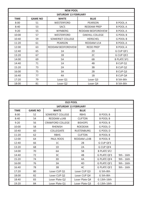| <b>NEW POOL</b>             |                                               |                    |                        |                    |  |  |  |
|-----------------------------|-----------------------------------------------|--------------------|------------------------|--------------------|--|--|--|
| <b>SATURDAY 13 FEBRUARY</b> |                                               |                    |                        |                    |  |  |  |
| <b>TIME</b>                 | <b>GAME NO</b><br><b>BLUE</b><br><b>WHITE</b> |                    |                        |                    |  |  |  |
| 8:00                        | 51                                            | <b>WESTERFORD</b>  | <b>PEARSON</b>         | <b>B POOL A</b>    |  |  |  |
| 8:40                        | 53                                            | <b>SACS</b>        | <b>REDDAM PREP</b>     | <b>B POOL A</b>    |  |  |  |
| 9:20                        | 55                                            | <b>WYNBERG</b>     | REDDAM BEDFORDVIEW     | <b>B POOL A</b>    |  |  |  |
| 10:00                       | 57                                            | <b>WESTERFORD</b>  | <b>OAKHILL COLLEGE</b> | <b>G POOL B</b>    |  |  |  |
| 10:40                       | 59                                            | SOMERSET COLLEGE   | <b>HERSCHEL</b>        | <b>G POOL B</b>    |  |  |  |
| 11:20                       | 61                                            | <b>PEARSON</b>     | REDDAM U14             | <b>B POOL A</b>    |  |  |  |
| 12:00                       | 63                                            | REDDAM BEDFORDVIEW | <b>REDD PREP</b>       | <b>B POOL A</b>    |  |  |  |
| 12:40                       | 65                                            | 1A                 | 2D                     | G CUP QF1          |  |  |  |
| 13:20                       | 67                                            | 1B                 | 2C                     | G CUP QF2          |  |  |  |
| 14:00                       | 69                                            | 5A                 | 6B                     | <b>B PLATE SF1</b> |  |  |  |
| 14:40                       | 71                                            | 1A                 | 4B                     | <b>B CUP Q1</b>    |  |  |  |
| 15:20                       | 73                                            | 2A                 | 3B                     | <b>B CUP Q2</b>    |  |  |  |
| 16:00                       | 75                                            | 3A                 | 2B                     | B CUP Q3           |  |  |  |
| 16:40                       | 77                                            | 4A                 | 1B                     | <b>B CUP Q4</b>    |  |  |  |
| 17:20                       | 79                                            | Loser Q1           | Loser Q3               | B 5th-8th          |  |  |  |
| 18:00                       | 81                                            | Loser Q2           | Loser Q4               | B 5th-8th          |  |  |  |

| <b>OLD POOL</b>             |                |                         |                   |                    |            |  |  |
|-----------------------------|----------------|-------------------------|-------------------|--------------------|------------|--|--|
| <b>SATURDAY 13 FEBRUARY</b> |                |                         |                   |                    |            |  |  |
| <b>TIME</b>                 | <b>GAME NO</b> | <b>WHITE</b>            | <b>BLUE</b>       |                    |            |  |  |
| 8:00                        | 52             | <b>SOMERSET COLLEGE</b> | <b>RBHS</b>       | <b>B POOL B</b>    |            |  |  |
| 8:40                        | 54             | REDDAM u14B             | <b>CLIFTON</b>    | <b>B POOL B</b>    |            |  |  |
| 9:20                        | 56             | <b>CRAWFORD COLLEGE</b> | <b>BISHOPS</b>    | <b>B POOL B</b>    |            |  |  |
| 10:00                       | 58             | <b>RHENISH</b>          | <b>ROEDEAN</b>    | <b>G POOL D</b>    |            |  |  |
| 10:40                       | 60             | <b>COLLEGIATE</b>       | <b>RUSTENBURG</b> | <b>G POOL D</b>    |            |  |  |
| 11:20                       | 62             | <b>RBHS</b>             | <b>CLIFTON</b>    | <b>B POOL B</b>    |            |  |  |
| 12:00                       | 64             | PAUL ROOS               | REDDAM u14B       | <b>B POOL B</b>    |            |  |  |
| 12:40                       | 66             | 1 <sup>C</sup>          | 2B                | G CUP QF3          |            |  |  |
| 13:20                       | 68             | 1D                      | 2A                | G CUP QF4          |            |  |  |
| 14:00                       | 70             | 6A                      | 5B                | <b>B PLATE SF2</b> |            |  |  |
| 14:40                       | 72             | 3C                      | 4B                | <b>G PLATE QF3</b> | 9th - 16th |  |  |
| 15:20                       | 74             | 3D                      | 4A                | <b>G PLATE QF4</b> | 9th - 16th |  |  |
| 16:00                       | 76             | 3A                      | 4D                | <b>G PLATE QF1</b> | 9th - 16th |  |  |
| 16:40                       | 78             | 3B                      | 4C                | <b>G PLATE QF2</b> | 9th - 16th |  |  |
| 17:20                       | 80             | Loser CUP Q1            | Loser CUP Q3      | G 5th-8th          |            |  |  |
| 18:00                       | 82             | Loser CUP Q2            | Loser CUP Q4      | G 5th-8th          |            |  |  |
| 18:40                       | 83             | Loser Plate Q2          | Loser Plate Q4    | G 13th-16th        |            |  |  |
| 19:20                       | 84             | Loser Plate Q1          | Loser Plate Q3    | G 13th-16th        |            |  |  |